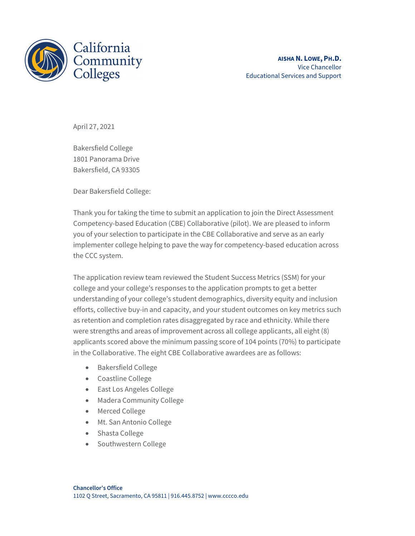

AISHA N. LOWE, PH.D. Vice Chancellor Educational Services and Support

April 27, 2021

Bakersfield College 1801 Panorama Drive Bakersfield, CA 93305

Dear Bakersfield College:

Thank you for taking the time to submit an application to join the Direct Assessment Competency-based Education (CBE) Collaborative (pilot). We are pleased to inform you of your selection to participate in the CBE Collaborative and serve as an early implementer college helping to pave the way for competency-based education across the CCC system.

The application review team reviewed the Student Success Metrics (SSM) for your college and your college's responses to the application prompts to get a better understanding of your college's student demographics, diversity equity and inclusion efforts, collective buy-in and capacity, and your student outcomes on key metrics such as retention and completion rates disaggregated by race and ethnicity. While there were strengths and areas of improvement across all college applicants, all eight (8) applicants scored above the minimum passing score of 104 points (70%) to participate in the Collaborative. The eight CBE Collaborative awardees are as follows:

- Bakersfield College
- Coastline College
- East Los Angeles College
- Madera Community College
- Merced College
- Mt. San Antonio College
- Shasta College
- Southwestern College